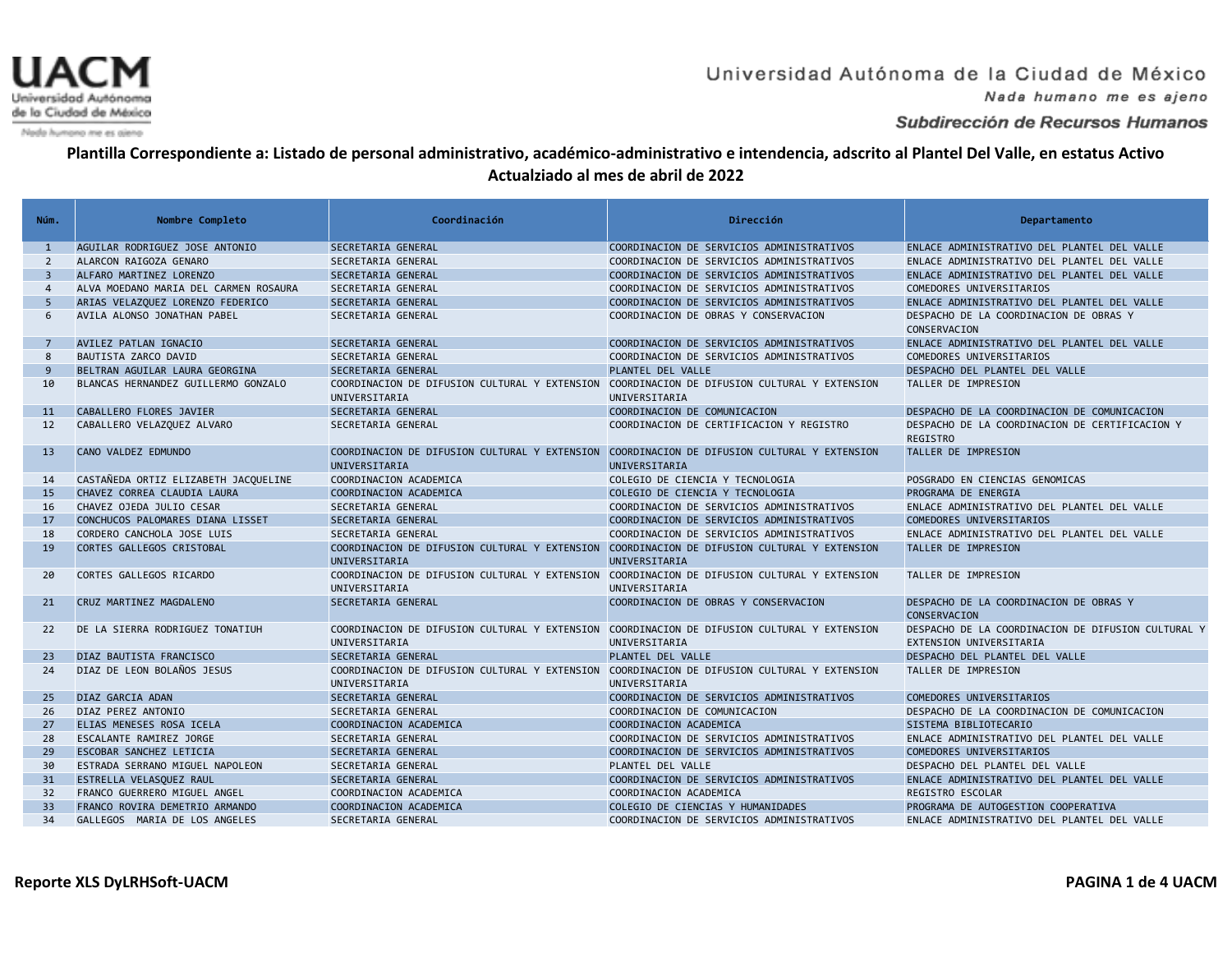

Nada humano me es ajeno

### Subdirección de Recursos Humanos

| Núm.           | Nombre Completo                       | Coordinación                                                                                                 | Dirección                                 | Departamento                                                                  |
|----------------|---------------------------------------|--------------------------------------------------------------------------------------------------------------|-------------------------------------------|-------------------------------------------------------------------------------|
|                |                                       |                                                                                                              |                                           |                                                                               |
| 1              | AGUILAR RODRIGUEZ JOSE ANTONIO        | SECRETARIA GENERAL                                                                                           | COORDINACION DE SERVICIOS ADMINISTRATIVOS | ENLACE ADMINISTRATIVO DEL PLANTEL DEL VALLE                                   |
| $\overline{2}$ | ALARCON RAIGOZA GENARO                | SECRETARIA GENERAL                                                                                           | COORDINACION DE SERVICIOS ADMINISTRATIVOS | ENLACE ADMINISTRATIVO DEL PLANTEL DEL VALLE                                   |
| $\overline{3}$ | ALFARO MARTINEZ LORENZO               | SECRETARIA GENERAL                                                                                           | COORDINACION DE SERVICIOS ADMINISTRATIVOS | ENLACE ADMINISTRATIVO DEL PLANTEL DEL VALLE                                   |
| $\overline{4}$ | ALVA MOEDANO MARIA DEL CARMEN ROSAURA | SECRETARIA GENERAL                                                                                           | COORDINACION DE SERVICIOS ADMINISTRATIVOS | COMEDORES UNIVERSITARIOS                                                      |
| 5              | ARIAS VELAZQUEZ LORENZO FEDERICO      | SECRETARIA GENERAL                                                                                           | COORDINACION DE SERVICIOS ADMINISTRATIVOS | ENLACE ADMINISTRATIVO DEL PLANTEL DEL VALLE                                   |
| 6              | AVILA ALONSO JONATHAN PABEL           | SECRETARIA GENERAL                                                                                           | COORDINACION DE OBRAS Y CONSERVACION      | DESPACHO DE LA COORDINACION DE OBRAS Y<br>CONSERVACION                        |
| $\overline{7}$ | AVILEZ PATLAN IGNACIO                 | SECRETARIA GENERAL                                                                                           | COORDINACION DE SERVICIOS ADMINISTRATIVOS | ENLACE ADMINISTRATIVO DEL PLANTEL DEL VALLE                                   |
| 8              | BAUTISTA ZARCO DAVID                  | SECRETARIA GENERAL                                                                                           | COORDINACION DE SERVICIOS ADMINISTRATIVOS | COMEDORES UNIVERSITARIOS                                                      |
| 9              | BELTRAN AGUILAR LAURA GEORGINA        | SECRETARIA GENERAL                                                                                           | PLANTEL DEL VALLE                         | DESPACHO DEL PLANTEL DEL VALLE                                                |
| 10             | BLANCAS HERNANDEZ GUILLERMO GONZALO   | COORDINACION DE DIFUSION CULTURAL Y EXTENSION COORDINACION DE DIFUSION CULTURAL Y EXTENSION<br>UNIVERSITARIA | UNIVERSITARIA                             | TALLER DE IMPRESION                                                           |
| 11             | CABALLERO FLORES JAVIER               | SECRETARIA GENERAL                                                                                           | COORDINACION DE COMUNICACION              | DESPACHO DE LA COORDINACION DE COMUNICACION                                   |
| 12             | CABALLERO VELAZQUEZ ALVARO            | SECRETARIA GENERAL                                                                                           | COORDINACION DE CERTIFICACION Y REGISTRO  | DESPACHO DE LA COORDINACION DE CERTIFICACION Y<br><b>REGISTRO</b>             |
| 13             | CANO VALDEZ EDMUNDO                   | COORDINACION DE DIFUSION CULTURAL Y EXTENSION COORDINACION DE DIFUSION CULTURAL Y EXTENSION<br>UNIVERSITARIA | UNIVERSITARIA                             | TALLER DE IMPRESION                                                           |
| 14             | CASTAÑEDA ORTIZ ELIZABETH JACQUELINE  | COORDINACION ACADEMICA                                                                                       | COLEGIO DE CIENCIA Y TECNOLOGIA           | POSGRADO EN CIENCIAS GENOMICAS                                                |
| 15             | CHAVEZ CORREA CLAUDIA LAURA           | COORDINACION ACADEMICA                                                                                       | COLEGIO DE CIENCIA Y TECNOLOGIA           | PROGRAMA DE ENERGIA                                                           |
| 16             | CHAVEZ OJEDA JULIO CESAR              | SECRETARIA GENERAL                                                                                           | COORDINACION DE SERVICIOS ADMINISTRATIVOS | ENLACE ADMINISTRATIVO DEL PLANTEL DEL VALLE                                   |
| 17             | CONCHUCOS PALOMARES DIANA LISSET      | SECRETARIA GENERAL                                                                                           | COORDINACION DE SERVICIOS ADMINISTRATIVOS | COMEDORES UNIVERSITARIOS                                                      |
| 18             | CORDERO CANCHOLA JOSE LUIS            | SECRETARIA GENERAL                                                                                           | COORDINACION DE SERVICIOS ADMINISTRATIVOS | ENLACE ADMINISTRATIVO DEL PLANTEL DEL VALLE                                   |
| 19             | CORTES GALLEGOS CRISTOBAL             | COORDINACION DE DIFUSION CULTURAL Y EXTENSION COORDINACION DE DIFUSION CULTURAL Y EXTENSION<br>UNIVERSITARIA | UNIVERSITARIA                             | TALLER DE IMPRESION                                                           |
| 20             | CORTES GALLEGOS RICARDO               | COORDINACION DE DIFUSION CULTURAL Y EXTENSION COORDINACION DE DIFUSION CULTURAL Y EXTENSION<br>UNIVERSITARIA | UNIVERSITARIA                             | TALLER DE IMPRESION                                                           |
| 21             | CRUZ MARTINEZ MAGDALENO               | SECRETARIA GENERAL                                                                                           | COORDINACION DE OBRAS Y CONSERVACION      | DESPACHO DE LA COORDINACION DE OBRAS Y<br>CONSERVACION                        |
| 22             | DE LA SIERRA RODRIGUEZ TONATIUH       | COORDINACION DE DIFUSION CULTURAL Y EXTENSION COORDINACION DE DIFUSION CULTURAL Y EXTENSION<br>UNIVERSITARIA | UNIVERSITARIA                             | DESPACHO DE LA COORDINACION DE DIFUSION CULTURAL Y<br>EXTENSION UNIVERSITARIA |
| 23             | DIAZ BAUTISTA FRANCISCO               | SECRETARIA GENERAL                                                                                           | PLANTEL DEL VALLE                         | DESPACHO DEL PLANTEL DEL VALLE                                                |
| 24             | DIAZ DE LEON BOLAÑOS JESUS            | COORDINACION DE DIFUSION CULTURAL Y EXTENSION COORDINACION DE DIFUSION CULTURAL Y EXTENSION<br>UNIVERSITARIA | UNIVERSITARIA                             | TALLER DE IMPRESION                                                           |
| 25             | DIAZ GARCIA ADAN                      | SECRETARIA GENERAL                                                                                           | COORDINACION DE SERVICIOS ADMINISTRATIVOS | COMEDORES UNIVERSITARIOS                                                      |
| 26             | DIAZ PEREZ ANTONIO                    | SECRETARIA GENERAL                                                                                           | COORDINACION DE COMUNICACION              | DESPACHO DE LA COORDINACION DE COMUNICACION                                   |
| 27             | ELIAS MENESES ROSA ICELA              | COORDINACION ACADEMICA                                                                                       | COORDINACION ACADEMICA                    | SISTEMA BIBLIOTECARIO                                                         |
| 28             | ESCALANTE RAMIREZ JORGE               | SECRETARIA GENERAL                                                                                           | COORDINACION DE SERVICIOS ADMINISTRATIVOS | ENLACE ADMINISTRATIVO DEL PLANTEL DEL VALLE                                   |
| 29             | ESCOBAR SANCHEZ LETICIA               | SECRETARIA GENERAL                                                                                           | COORDINACION DE SERVICIOS ADMINISTRATIVOS | COMEDORES UNIVERSITARIOS                                                      |
| 30             | ESTRADA SERRANO MIGUEL NAPOLEON       | SECRETARIA GENERAL                                                                                           | PLANTEL DEL VALLE                         | DESPACHO DEL PLANTEL DEL VALLE                                                |
| 31             | ESTRELLA VELASQUEZ RAUL               | SECRETARIA GENERAL                                                                                           | COORDINACION DE SERVICIOS ADMINISTRATIVOS | ENLACE ADMINISTRATIVO DEL PLANTEL DEL VALLE                                   |
| 32             | FRANCO GUERRERO MIGUEL ANGEL          | COORDINACION ACADEMICA                                                                                       | COORDINACION ACADEMICA                    | REGISTRO ESCOLAR                                                              |
| 33             | FRANCO ROVIRA DEMETRIO ARMANDO        | COORDINACION ACADEMICA                                                                                       | COLEGIO DE CIENCIAS Y HUMANIDADES         | PROGRAMA DE AUTOGESTION COOPERATIVA                                           |
| 34             | GALLEGOS MARIA DE LOS ANGELES         | SECRETARIA GENERAL                                                                                           | COORDINACION DE SERVICIOS ADMINISTRATIVOS | ENLACE ADMINISTRATIVO DEL PLANTEL DEL VALLE                                   |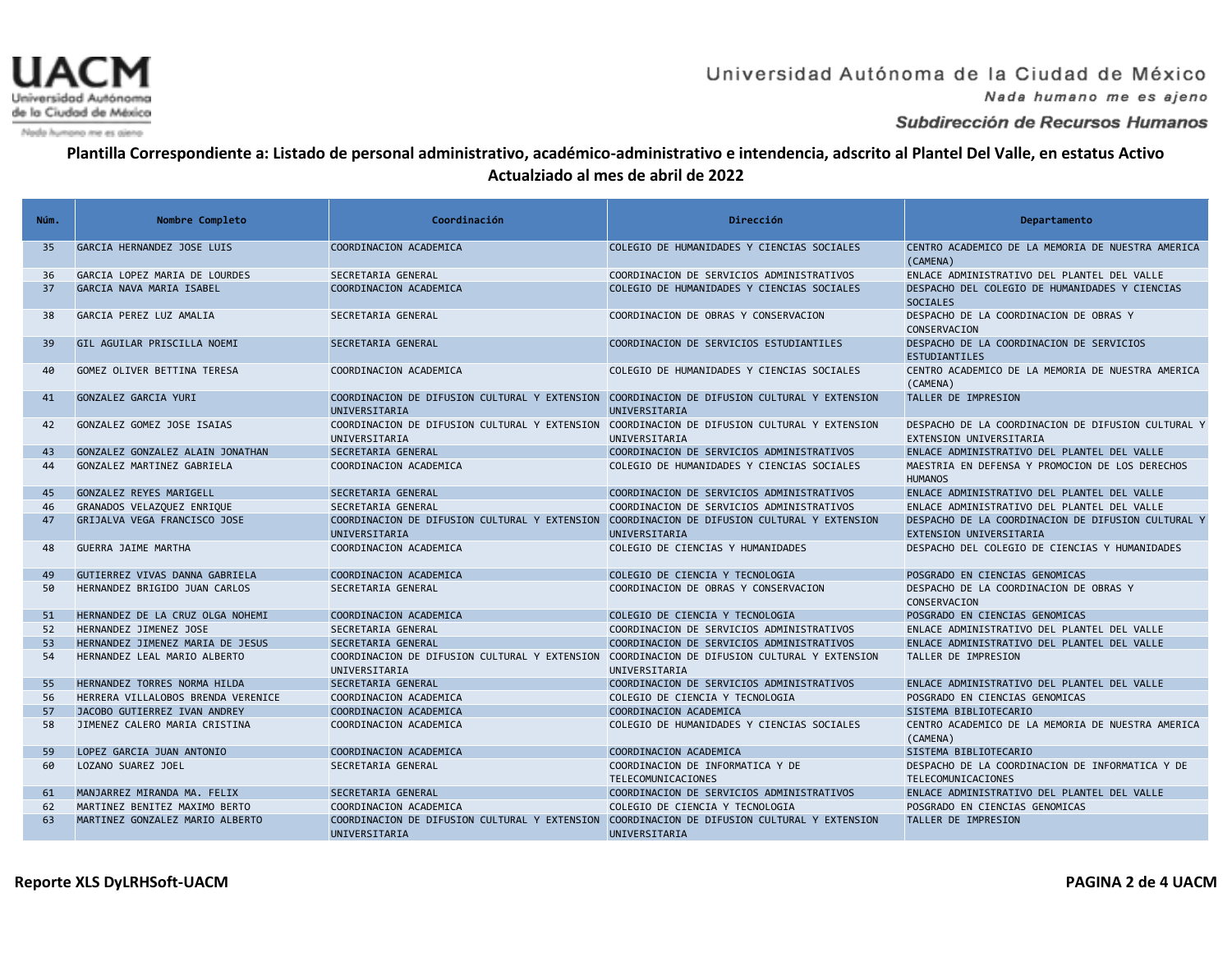

Nada humano me es ajeno

#### Subdirección de Recursos Humanos

| Núm. | Nombre Completo                    | Coordinación                                                                                                 | Dirección                                                      | Departamento                                                                  |
|------|------------------------------------|--------------------------------------------------------------------------------------------------------------|----------------------------------------------------------------|-------------------------------------------------------------------------------|
| 35   | GARCIA HERNANDEZ JOSE LUIS         | COORDINACION ACADEMICA                                                                                       | COLEGIO DE HUMANIDADES Y CIENCIAS SOCIALES                     | CENTRO ACADEMICO DE LA MEMORIA DE NUESTRA AMERICA<br>(CAMENA)                 |
| 36   | GARCIA LOPEZ MARIA DE LOURDES      | SECRETARIA GENERAL                                                                                           | COORDINACION DE SERVICIOS ADMINISTRATIVOS                      | ENLACE ADMINISTRATIVO DEL PLANTEL DEL VALLE                                   |
| 37   | GARCIA NAVA MARIA ISABEL           | COORDINACION ACADEMICA                                                                                       | COLEGIO DE HUMANIDADES Y CIENCIAS SOCIALES                     | DESPACHO DEL COLEGIO DE HUMANIDADES Y CIENCIAS<br><b>SOCIALES</b>             |
| 38   | GARCIA PEREZ LUZ AMALIA            | SECRETARIA GENERAL                                                                                           | COORDINACION DE OBRAS Y CONSERVACION                           | DESPACHO DE LA COORDINACION DE OBRAS Y<br>CONSERVACION                        |
| 39   | GIL AGUILAR PRISCILLA NOEMI        | SECRETARIA GENERAL                                                                                           | COORDINACION DE SERVICIOS ESTUDIANTILES                        | DESPACHO DE LA COORDINACION DE SERVICIOS<br>ESTUDIANTILES                     |
| 40   | GOMEZ OLIVER BETTINA TERESA        | COORDINACION ACADEMICA                                                                                       | COLEGIO DE HUMANIDADES Y CIENCIAS SOCIALES                     | CENTRO ACADEMICO DE LA MEMORIA DE NUESTRA AMERICA<br>(CAMENA)                 |
| 41   | GONZALEZ GARCIA YURI               | COORDINACION DE DIFUSION CULTURAL Y EXTENSION COORDINACION DE DIFUSION CULTURAL Y EXTENSION<br>UNIVERSITARIA | UNIVERSITARIA                                                  | TALLER DE IMPRESION                                                           |
| 42   | GONZALEZ GOMEZ JOSE ISAIAS         | COORDINACION DE DIFUSION CULTURAL Y EXTENSION COORDINACION DE DIFUSION CULTURAL Y EXTENSION<br>UNIVERSITARIA | UNIVERSITARIA                                                  | DESPACHO DE LA COORDINACION DE DIFUSION CULTURAL Y<br>EXTENSION UNIVERSITARIA |
| 43   | GONZALEZ GONZALEZ ALAIN JONATHAN   | SECRETARIA GENERAL                                                                                           | COORDINACION DE SERVICIOS ADMINISTRATIVOS                      | ENLACE ADMINISTRATIVO DEL PLANTEL DEL VALLE                                   |
| 44   | GONZALEZ MARTINEZ GABRIELA         | COORDINACION ACADEMICA                                                                                       | COLEGIO DE HUMANIDADES Y CIENCIAS SOCIALES                     | MAESTRIA EN DEFENSA Y PROMOCION DE LOS DERECHOS<br><b>HUMANOS</b>             |
| 45   | GONZALEZ REYES MARIGELL            | SECRETARIA GENERAL                                                                                           | COORDINACION DE SERVICIOS ADMINISTRATIVOS                      | ENLACE ADMINISTRATIVO DEL PLANTEL DEL VALLE                                   |
| 46   | GRANADOS VELAZQUEZ ENRIQUE         | SECRETARIA GENERAL                                                                                           | COORDINACION DE SERVICIOS ADMINISTRATIVOS                      | ENLACE ADMINISTRATIVO DEL PLANTEL DEL VALLE                                   |
| 47   | GRIJALVA VEGA FRANCISCO JOSE       | COORDINACION DE DIFUSION CULTURAL Y EXTENSION<br>UNIVERSITARIA                                               | COORDINACION DE DIFUSION CULTURAL Y EXTENSION<br>UNIVERSITARIA | DESPACHO DE LA COORDINACION DE DIFUSION CULTURAL Y<br>EXTENSION UNIVERSITARIA |
| 48   | <b>GUERRA JAIME MARTHA</b>         | COORDINACION ACADEMICA                                                                                       | COLEGIO DE CIENCIAS Y HUMANIDADES                              | DESPACHO DEL COLEGIO DE CIENCIAS Y HUMANIDADES                                |
| 49   | GUTIERREZ VIVAS DANNA GABRIELA     | COORDINACION ACADEMICA                                                                                       | COLEGIO DE CIENCIA Y TECNOLOGIA                                | POSGRADO EN CIENCIAS GENOMICAS                                                |
| 50   | HERNANDEZ BRIGIDO JUAN CARLOS      | SECRETARIA GENERAL                                                                                           | COORDINACION DE OBRAS Y CONSERVACION                           | DESPACHO DE LA COORDINACION DE OBRAS Y<br>CONSERVACION                        |
| 51   | HERNANDEZ DE LA CRUZ OLGA NOHEMI   | COORDINACION ACADEMICA                                                                                       | COLEGIO DE CIENCIA Y TECNOLOGIA                                | POSGRADO EN CIENCIAS GENOMICAS                                                |
| 52   | HERNANDEZ JIMENEZ JOSE             | SECRETARIA GENERAL                                                                                           | COORDINACION DE SERVICIOS ADMINISTRATIVOS                      | ENLACE ADMINISTRATIVO DEL PLANTEL DEL VALLE                                   |
| 53   | HERNANDEZ JIMENEZ MARIA DE JESUS   | SECRETARIA GENERAL                                                                                           | COORDINACION DE SERVICIOS ADMINISTRATIVOS                      | ENLACE ADMINISTRATIVO DEL PLANTEL DEL VALLE                                   |
| 54   | HERNANDEZ LEAL MARIO ALBERTO       | COORDINACION DE DIFUSION CULTURAL Y EXTENSION COORDINACION DE DIFUSION CULTURAL Y EXTENSION<br>UNIVERSITARIA | UNIVERSITARIA                                                  | TALLER DE IMPRESION                                                           |
| 55   | HERNANDEZ TORRES NORMA HILDA       | SECRETARIA GENERAL                                                                                           | COORDINACION DE SERVICIOS ADMINISTRATIVOS                      | ENLACE ADMINISTRATIVO DEL PLANTEL DEL VALLE                                   |
| 56   | HERRERA VILLALOBOS BRENDA VERENICE | COORDINACION ACADEMICA                                                                                       | COLEGIO DE CIENCIA Y TECNOLOGIA                                | POSGRADO EN CIENCIAS GENOMICAS                                                |
| 57   | JACOBO GUTIERREZ IVAN ANDREY       | COORDINACION ACADEMICA                                                                                       | COORDINACION ACADEMICA                                         | SISTEMA BIBLIOTECARIO                                                         |
| 58   | JIMENEZ CALERO MARIA CRISTINA      | COORDINACION ACADEMICA                                                                                       | COLEGIO DE HUMANIDADES Y CIENCIAS SOCIALES                     | CENTRO ACADEMICO DE LA MEMORIA DE NUESTRA AMERICA<br>(CAMENA)                 |
| 59   | LOPEZ GARCIA JUAN ANTONIO          | COORDINACION ACADEMICA                                                                                       | COORDINACION ACADEMICA                                         | SISTEMA BIBLIOTECARIO                                                         |
| 60   | LOZANO SUAREZ JOEL                 | SECRETARIA GENERAL                                                                                           | COORDINACION DE INFORMATICA Y DE<br>TELECOMUNICACIONES         | DESPACHO DE LA COORDINACION DE INFORMATICA Y DE<br>TELECOMUNICACIONES         |
| 61   | MANJARREZ MIRANDA MA. FELIX        | SECRETARIA GENERAL                                                                                           | COORDINACION DE SERVICIOS ADMINISTRATIVOS                      | ENLACE ADMINISTRATIVO DEL PLANTEL DEL VALLE                                   |
| 62   | MARTINEZ BENITEZ MAXIMO BERTO      | COORDINACION ACADEMICA                                                                                       | COLEGIO DE CIENCIA Y TECNOLOGIA                                | POSGRADO EN CIENCIAS GENOMICAS                                                |
| 63   | MARTINEZ GONZALEZ MARIO ALBERTO    | COORDINACION DE DIFUSION CULTURAL Y EXTENSION COORDINACION DE DIFUSION CULTURAL Y EXTENSION<br>UNIVERSITARIA | UNIVERSITARIA                                                  | TALLER DE IMPRESION                                                           |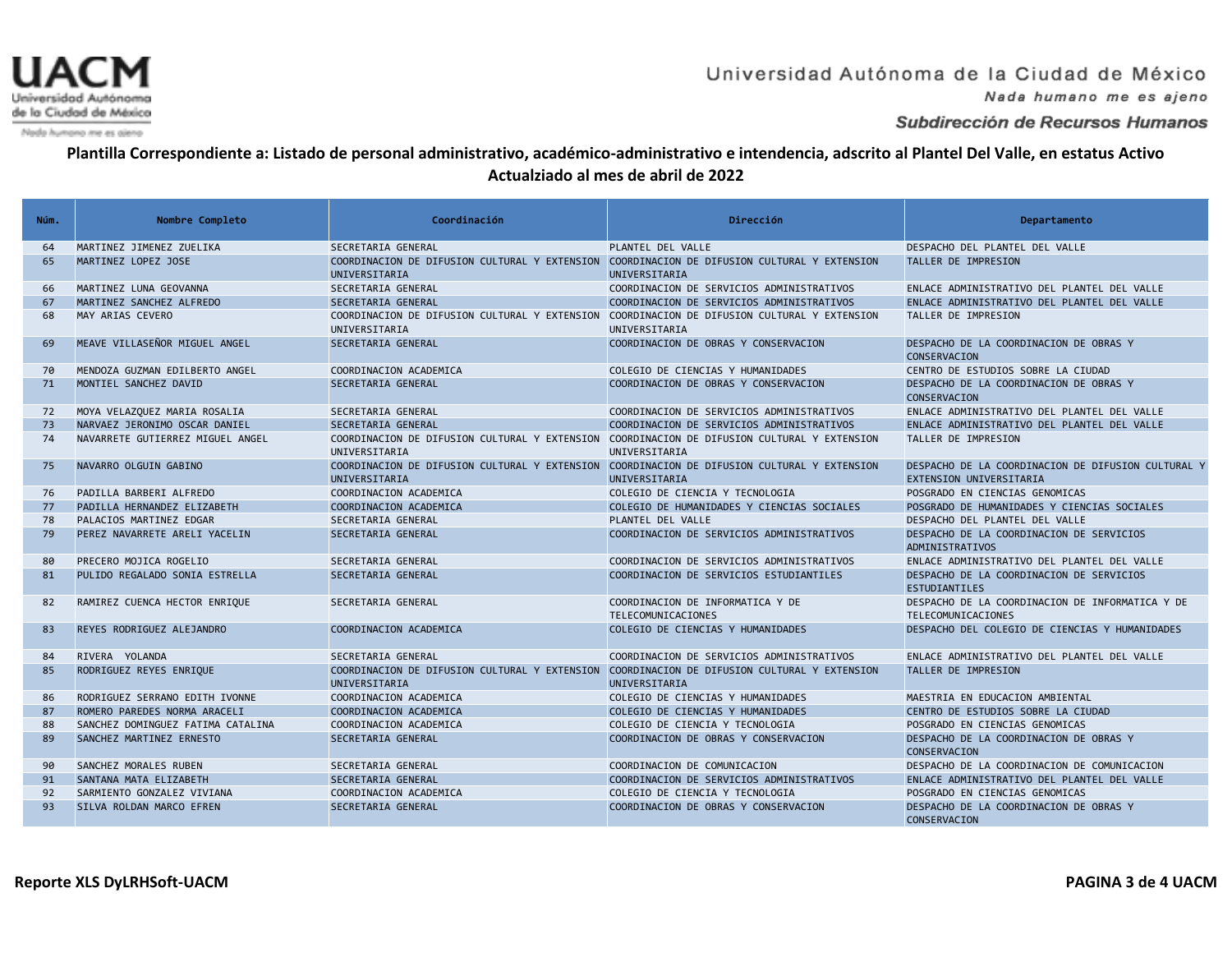

Nada humano me es ajeno

### Subdirección de Recursos Humanos

| Núm. | Nombre Completo                   | Coordinación                                                                                                 | Dirección                                                      | Departamento                                                                  |
|------|-----------------------------------|--------------------------------------------------------------------------------------------------------------|----------------------------------------------------------------|-------------------------------------------------------------------------------|
| 64   | MARTINEZ JIMENEZ ZUELIKA          | SECRETARIA GENERAL                                                                                           | PLANTEL DEL VALLE                                              | DESPACHO DEL PLANTEL DEL VALLE                                                |
| 65   | MARTINEZ LOPEZ JOSE               | COORDINACION DE DIFUSION CULTURAL Y EXTENSION COORDINACION DE DIFUSION CULTURAL Y EXTENSION<br>UNIVERSITARIA | UNIVERSITARIA                                                  | TALLER DE IMPRESION                                                           |
| 66   | MARTINEZ LUNA GEOVANNA            | SECRETARIA GENERAL                                                                                           | COORDINACION DE SERVICIOS ADMINISTRATIVOS                      | ENLACE ADMINISTRATIVO DEL PLANTEL DEL VALLE                                   |
| 67   | MARTINEZ SANCHEZ ALFREDO          | <b>SECRETARIA GENERAL</b>                                                                                    | COORDINACION DE SERVICIOS ADMINISTRATIVOS                      | ENLACE ADMINISTRATIVO DEL PLANTEL DEL VALLE                                   |
| 68   | MAY ARIAS CEVERO                  | COORDINACION DE DIFUSION CULTURAL Y EXTENSION COORDINACION DE DIFUSION CULTURAL Y EXTENSION<br>UNIVERSITARIA | UNIVERSITARIA                                                  | TALLER DE IMPRESION                                                           |
| 69   | MEAVE VILLASENOR MIGUEL ANGEL     | SECRETARIA GENERAL                                                                                           | COORDINACION DE OBRAS Y CONSERVACION                           | DESPACHO DE LA COORDINACION DE OBRAS Y<br>CONSERVACION                        |
| 70   | MENDOZA GUZMAN EDILBERTO ANGEL    | COORDINACION ACADEMICA                                                                                       | COLEGIO DE CIENCIAS Y HUMANIDADES                              | CENTRO DE ESTUDIOS SOBRE LA CIUDAD                                            |
| 71   | MONTIEL SANCHEZ DAVID             | <b>SECRETARIA GENERAL</b>                                                                                    | COORDINACION DE OBRAS Y CONSERVACION                           | DESPACHO DE LA COORDINACION DE OBRAS Y<br>CONSERVACION                        |
| 72   | MOYA VELAZQUEZ MARIA ROSALIA      | SECRETARIA GENERAL                                                                                           | COORDINACION DE SERVICIOS ADMINISTRATIVOS                      | ENLACE ADMINISTRATIVO DEL PLANTEL DEL VALLE                                   |
| 73   | NARVAEZ JERONIMO OSCAR DANIEL     | SECRETARIA GENERAL                                                                                           | COORDINACION DE SERVICIOS ADMINISTRATIVOS                      | ENLACE ADMINISTRATIVO DEL PLANTEL DEL VALLE                                   |
| 74   | NAVARRETE GUTIERREZ MIGUEL ANGEL  | COORDINACION DE DIFUSION CULTURAL Y EXTENSION<br>UNIVERSITARIA                                               | COORDINACION DE DIFUSION CULTURAL Y EXTENSION<br>UNIVERSITARIA | TALLER DE IMPRESION                                                           |
| 75   | NAVARRO OLGUIN GABINO             | COORDINACION DE DIFUSION CULTURAL Y EXTENSION COORDINACION DE DIFUSION CULTURAL Y EXTENSION<br>UNIVERSITARIA | UNIVERSITARIA                                                  | DESPACHO DE LA COORDINACION DE DIFUSION CULTURAL Y<br>EXTENSION UNIVERSITARIA |
| 76   | PADILLA BARBERI ALFREDO           | COORDINACION ACADEMICA                                                                                       | COLEGIO DE CIENCIA Y TECNOLOGIA                                | POSGRADO EN CIENCIAS GENOMICAS                                                |
| 77   | PADILLA HERNANDEZ ELIZABETH       | COORDINACION ACADEMICA                                                                                       | COLEGIO DE HUMANIDADES Y CIENCIAS SOCIALES                     | POSGRADO DE HUMANIDADES Y CIENCIAS SOCIALES                                   |
| 78   | PALACIOS MARTINEZ EDGAR           | SECRETARIA GENERAL                                                                                           | PLANTEL DEL VALLE                                              | DESPACHO DEL PLANTEL DEL VALLE                                                |
| 79   | PEREZ NAVARRETE ARELI YACELIN     | SECRETARIA GENERAL                                                                                           | COORDINACION DE SERVICIOS ADMINISTRATIVOS                      | DESPACHO DE LA COORDINACION DE SERVICIOS<br><b>ADMINISTRATIVOS</b>            |
| 80   | PRECERO MOJICA ROGELIO            | SECRETARIA GENERAL                                                                                           | COORDINACION DE SERVICIOS ADMINISTRATIVOS                      | ENLACE ADMINISTRATIVO DEL PLANTEL DEL VALLE                                   |
| 81   | PULIDO REGALADO SONIA ESTRELLA    | SECRETARIA GENERAL                                                                                           | COORDINACION DE SERVICIOS ESTUDIANTILES                        | DESPACHO DE LA COORDINACION DE SERVICIOS<br>ESTUDIANTILES                     |
| 82   | RAMIREZ CUENCA HECTOR ENRIQUE     | SECRETARIA GENERAL                                                                                           | COORDINACION DE INFORMATICA Y DE<br>TELECOMUNICACIONES         | DESPACHO DE LA COORDINACION DE INFORMATICA Y DE<br>TELECOMUNICACIONES         |
| 83   | REYES RODRIGUEZ ALEJANDRO         | COORDINACION ACADEMICA                                                                                       | COLEGIO DE CIENCIAS Y HUMANIDADES                              | DESPACHO DEL COLEGIO DE CIENCIAS Y HUMANIDADES                                |
| 84   | RIVERA YOLANDA                    | SECRETARIA GENERAL                                                                                           | COORDINACION DE SERVICIOS ADMINISTRATIVOS                      | ENLACE ADMINISTRATIVO DEL PLANTEL DEL VALLE                                   |
| 85   | RODRIGUEZ REYES ENRIQUE           | COORDINACION DE DIFUSION CULTURAL Y EXTENSION<br>UNIVERSITARIA                                               | COORDINACION DE DIFUSION CULTURAL Y EXTENSION<br>UNIVERSITARIA | TALLER DE IMPRESION                                                           |
| 86   | RODRIGUEZ SERRANO EDITH IVONNE    | COORDINACION ACADEMICA                                                                                       | COLEGIO DE CIENCIAS Y HUMANIDADES                              | MAESTRIA EN EDUCACION AMBIENTAL                                               |
| 87   | ROMERO PAREDES NORMA ARACELI      | COORDINACION ACADEMICA                                                                                       | COLEGIO DE CIENCIAS Y HUMANIDADES                              | CENTRO DE ESTUDIOS SOBRE LA CIUDAD                                            |
| 88   | SANCHEZ DOMINGUEZ FATIMA CATALINA | COORDINACION ACADEMICA                                                                                       | COLEGIO DE CIENCIA Y TECNOLOGIA                                | POSGRADO EN CIENCIAS GENOMICAS                                                |
| 89   | SANCHEZ MARTINEZ ERNESTO          | SECRETARIA GENERAL                                                                                           | COORDINACION DE OBRAS Y CONSERVACION                           | DESPACHO DE LA COORDINACION DE OBRAS Y<br>CONSERVACION                        |
| 90   | SANCHEZ MORALES RUBEN             | SECRETARIA GENERAL                                                                                           | COORDINACION DE COMUNICACION                                   | DESPACHO DE LA COORDINACION DE COMUNICACION                                   |
| 91   | SANTANA MATA ELIZABETH            | SECRETARIA GENERAL                                                                                           | COORDINACION DE SERVICIOS ADMINISTRATIVOS                      | ENLACE ADMINISTRATIVO DEL PLANTEL DEL VALLE                                   |
| 92   | SARMIENTO GONZALEZ VIVIANA        | COORDINACION ACADEMICA                                                                                       | COLEGIO DE CIENCIA Y TECNOLOGIA                                | POSGRADO EN CIENCIAS GENOMICAS                                                |
| 93   | SILVA ROLDAN MARCO EFREN          | <b>SECRETARIA GENERAL</b>                                                                                    | COORDINACION DE OBRAS Y CONSERVACION                           | DESPACHO DE LA COORDINACION DE OBRAS Y<br>CONSERVACION                        |